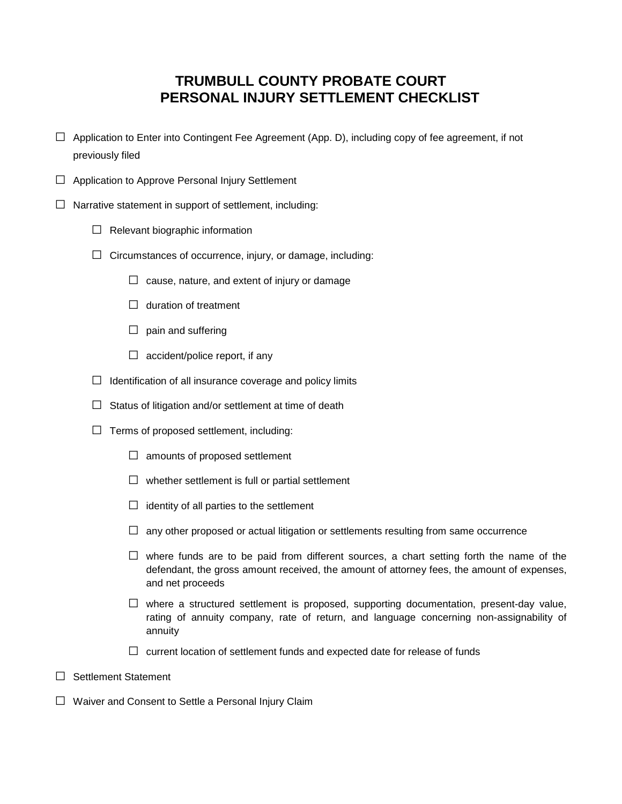## **TRUMBULL COUNTY PROBATE COURT PERSONAL INJURY SETTLEMENT CHECKLIST**

- $\Box$  Application to Enter into Contingent Fee Agreement (App. D), including copy of fee agreement, if not previously filed
- $\Box$  Application to Approve Personal Injury Settlement
- $\square$  Narrative statement in support of settlement, including:
	- $\Box$  Relevant biographic information
	- $\Box$  Circumstances of occurrence, injury, or damage, including:
		- $\Box$  cause, nature, and extent of injury or damage
		- $\Box$  duration of treatment
		- $\Box$  pain and suffering
		- $\Box$  accident/police report, if any
	- $\Box$  Identification of all insurance coverage and policy limits
	- $\Box$  Status of litigation and/or settlement at time of death
	- $\Box$  Terms of proposed settlement, including:
		- $\Box$  amounts of proposed settlement
		- $\Box$  whether settlement is full or partial settlement
		- $\Box$  identity of all parties to the settlement
		- $\square$  any other proposed or actual litigation or settlements resulting from same occurrence
		- $\square$  where funds are to be paid from different sources, a chart setting forth the name of the defendant, the gross amount received, the amount of attorney fees, the amount of expenses, and net proceeds
		- $\square$  where a structured settlement is proposed, supporting documentation, present-day value, rating of annuity company, rate of return, and language concerning non-assignability of annuity
		- $\square$  current location of settlement funds and expected date for release of funds
- □ Settlement Statement
- □ Waiver and Consent to Settle a Personal Injury Claim